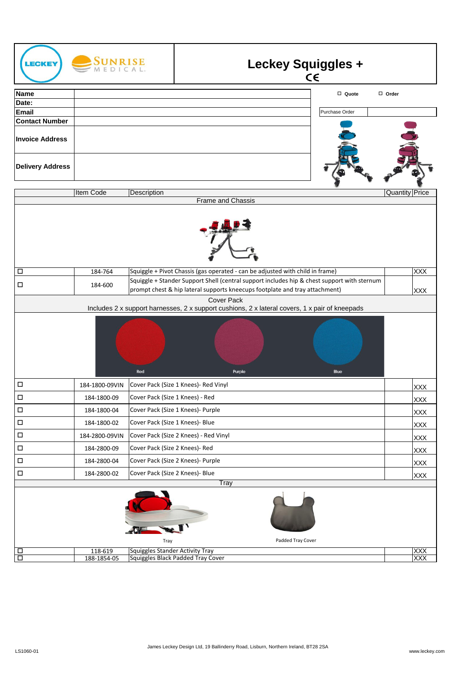| ECKEY                                                                                                               | <b>SUNRISE</b>                                                                                                                                                                        |                                                                             |                                                                               |                   | <b>Leckey Squiggles +</b><br>$C \in$ |                       |
|---------------------------------------------------------------------------------------------------------------------|---------------------------------------------------------------------------------------------------------------------------------------------------------------------------------------|-----------------------------------------------------------------------------|-------------------------------------------------------------------------------|-------------------|--------------------------------------|-----------------------|
| <b>Name</b>                                                                                                         |                                                                                                                                                                                       |                                                                             |                                                                               |                   | $\Box$ Quote                         | $\Box$ Order          |
| Date:                                                                                                               |                                                                                                                                                                                       |                                                                             |                                                                               |                   |                                      |                       |
| Email                                                                                                               |                                                                                                                                                                                       |                                                                             |                                                                               |                   | Purchase Order                       |                       |
| <b>Contact Number</b>                                                                                               |                                                                                                                                                                                       |                                                                             |                                                                               |                   |                                      |                       |
| <b>Invoice Address</b>                                                                                              |                                                                                                                                                                                       |                                                                             |                                                                               |                   |                                      |                       |
| <b>Delivery Address</b>                                                                                             |                                                                                                                                                                                       |                                                                             |                                                                               |                   |                                      |                       |
|                                                                                                                     | Item Code                                                                                                                                                                             | Description                                                                 |                                                                               |                   |                                      | <b>Quantity Price</b> |
|                                                                                                                     |                                                                                                                                                                                       |                                                                             | <b>Frame and Chassis</b>                                                      |                   |                                      |                       |
|                                                                                                                     |                                                                                                                                                                                       |                                                                             |                                                                               |                   |                                      |                       |
| $\Box$                                                                                                              | 184-764                                                                                                                                                                               |                                                                             | Squiggle + Pivot Chassis (gas operated - can be adjusted with child in frame) |                   |                                      | <b>XXX</b>            |
| $\Box$                                                                                                              | Squiggle + Stander Support Shell (central support includes hip & chest support with sternum<br>184-600<br>prompt chest & hip lateral supports kneecups footplate and tray attachment) |                                                                             |                                                                               |                   | <b>XXX</b>                           |                       |
| <b>Cover Pack</b><br>Includes 2 x support harnesses, 2 x support cushions, 2 x lateral covers, 1 x pair of kneepads |                                                                                                                                                                                       |                                                                             |                                                                               |                   |                                      |                       |
|                                                                                                                     |                                                                                                                                                                                       | Red                                                                         |                                                                               | Purple            | Blue                                 |                       |
| $\Box$                                                                                                              | 184-1800-09VIN                                                                                                                                                                        |                                                                             | Cover Pack (Size 1 Knees)- Red Vinyl                                          |                   |                                      | <b>XXX</b>            |
| $\Box$                                                                                                              | 184-1800-09                                                                                                                                                                           | Cover Pack (Size 1 Knees) - Red                                             |                                                                               |                   |                                      | <b>XXX</b>            |
| $\Box$                                                                                                              | 184-1800-04                                                                                                                                                                           | Cover Pack (Size 1 Knees)- Purple                                           |                                                                               |                   | <b>XXX</b>                           |                       |
| $\Box$                                                                                                              | 184-1800-02                                                                                                                                                                           | Cover Pack (Size 1 Knees)- Blue                                             |                                                                               |                   | XXX                                  |                       |
| $\Box$                                                                                                              | 184-2800-09VIN                                                                                                                                                                        | Cover Pack (Size 2 Knees) - Red Vinyl                                       |                                                                               |                   | <b>XXX</b>                           |                       |
| $\Box$                                                                                                              | 184-2800-09                                                                                                                                                                           | Cover Pack (Size 2 Knees)- Red                                              |                                                                               |                   | XXX                                  |                       |
| $\Box$                                                                                                              | 184-2800-04                                                                                                                                                                           | Cover Pack (Size 2 Knees)- Purple                                           |                                                                               |                   | XXX                                  |                       |
| $\Box$                                                                                                              | 184-2800-02                                                                                                                                                                           | Cover Pack (Size 2 Knees)- Blue                                             |                                                                               |                   | XXX                                  |                       |
| Tray                                                                                                                |                                                                                                                                                                                       |                                                                             |                                                                               |                   |                                      |                       |
|                                                                                                                     |                                                                                                                                                                                       |                                                                             |                                                                               | Padded Tray Cover |                                      |                       |
|                                                                                                                     | 118-619                                                                                                                                                                               | Tray                                                                        |                                                                               |                   |                                      | XXX                   |
| $\Box$<br>Ō                                                                                                         | 188-1854-05                                                                                                                                                                           | <b>Squiggles Stander Activity Tray</b><br>Squiggles Black Padded Tray Cover |                                                                               | XXX               |                                      |                       |